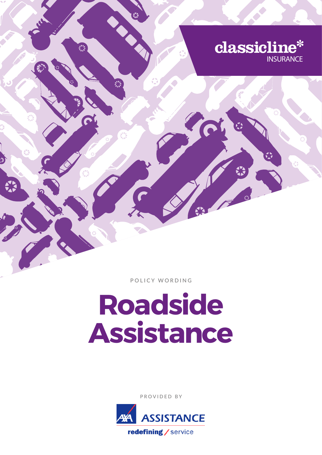

**Provided by**

# **Roadside Assistance**

**Policy Wording**

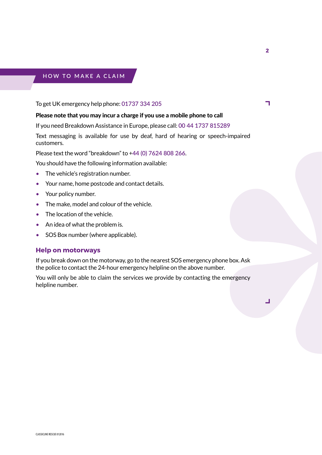# **H o w to make a claim**

To get UK emergency help phone: **01737 334 205**

# Please note that you may incur a charge if you use a mobile phone to call

If you need Breakdown Assistance in Europe, please call: **00 44 1737 815289**

Text messaging is available for use by deaf, hard of hearing or speech-impaired customers.

Please text the word "breakdown" to +**44 (0) 7624 808 266**.

You should have the following information available:

- The vehicle's registration number.
- Your name, home postcode and contact details.
- Your policy number.
- The make, model and colour of the vehicle.
- The location of the vehicle.
- An idea of what the problem is.
- SOS Box number (where applicable).

#### **Help on motorways**

If you break down on the motorway, go to the nearest SOS emergency phone box. Ask the police to contact the 24-hour emergency helpline on the above number.

You will only be able to claim the services we provide by contacting the emergency helpline number.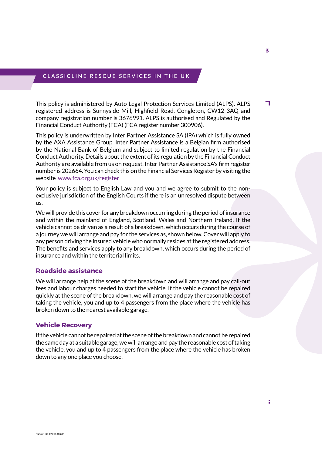## **C lassic L ine R escue S ervices in t h e UK**

This policy is administered by Auto Legal Protection Services Limited (ALPS). ALPS registered address is Sunnyside Mill, Highfield Road, Congleton, CW12 3AQ and company registration number is 3676991. ALPS is authorised and Regulated by the Financial Conduct Authority (FCA) (FCA register number 300906).

This policy is underwritten by Inter Partner Assistance SA (IPA) which is fully owned by the AXA Assistance Group. Inter Partner Assistance is a Belgian firm authorised by the National Bank of Belgium and subject to limited regulation by the Financial Conduct Authority. Details about the extent of its regulation by the Financial Conduct Authority are available from us on request. Inter Partner Assistance SA's firm register number is 202664. You can check this on the Financial Services Register by visiting the website www.fca.org.uk/register

Your policy is subject to English Law and you and we agree to submit to the nonexclusive jurisdiction of the English Courts if there is an unresolved dispute between us.

We will provide this cover for any breakdown occurring during the period of insurance and within the mainland of England, Scotland, Wales and Northern Ireland. If the vehicle cannot be driven as a result of a breakdown, which occurs during the course of a journey we will arrange and pay for the services as, shown below. Cover will apply to any person driving the insured vehicle who normally resides at the registered address. The benefits and services apply to any breakdown, which occurs during the period of insurance and within the territorial limits.

#### **Roadside assistance**

We will arrange help at the scene of the breakdown and will arrange and pay call-out fees and labour charges needed to start the vehicle. If the vehicle cannot be repaired quickly at the scene of the breakdown, we will arrange and pay the reasonable cost of taking the vehicle, you and up to 4 passengers from the place where the vehicle has broken down to the nearest available garage.

#### **Vehicle Recovery**

If the vehicle cannot be repaired at the scene of the breakdown and cannot be repaired the same day at a suitable garage, we will arrange and pay the reasonable cost of taking the vehicle, you and up to 4 passengers from the place where the vehicle has broken down to any one place you choose.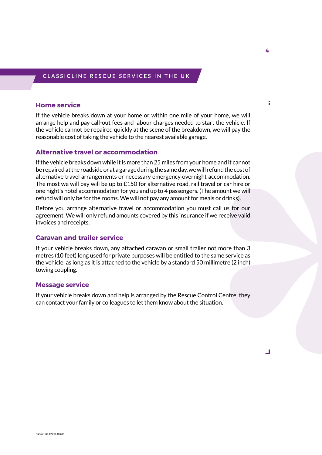#### **C lassic L ine R escue S ervices in t h e UK**

#### **Home service**

If the vehicle breaks down at your home or within one mile of your home, we will arrange help and pay call-out fees and labour charges needed to start the vehicle. If the vehicle cannot be repaired quickly at the scene of the breakdown, we will pay the reasonable cost of taking the vehicle to the nearest available garage.

### **Alternative travel or accommodation**

If the vehicle breaks down while it is more than 25 miles from your home and it cannot be repaired at the roadside or at a garage during the same day, we will refund the cost of alternative travel arrangements or necessary emergency overnight accommodation. The most we will pay will be up to £150 for alternative road, rail travel or car hire or one night's hotel accommodation for you and up to 4 passengers. (The amount we will refund will only be for the rooms. We will not pay any amount for meals or drinks).

Before you arrange alternative travel or accommodation you must call us for our agreement. We will only refund amounts covered by this insurance if we receive valid invoices and receipts.

#### **Caravan and trailer service**

If your vehicle breaks down, any attached caravan or small trailer not more than 3 metres (10 feet) long used for private purposes will be entitled to the same service as the vehicle, as long as it is attached to the vehicle by a standard 50 millimetre (2 inch) towing coupling.

#### **Message service**

If your vehicle breaks down and help is arranged by the Rescue Control Centre, they can contact your family or colleagues to let them know about the situation.

ł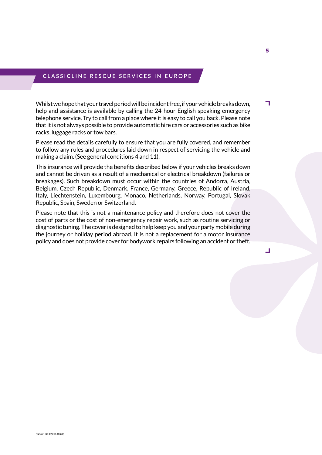## **C lassic L ine R escue S ervices in E uro p e**

Whilst we hope that your travel period will be incident free, if your vehicle breaks down, help and assistance is available by calling the 24-hour English speaking emergency telephone service. Try to call from a place where it is easy to call you back. Please note that it is not always possible to provide automatic hire cars or accessories such as bike racks, luggage racks or tow bars.

Please read the details carefully to ensure that you are fully covered, and remember to follow any rules and procedures laid down in respect of servicing the vehicle and making a claim. (See general conditions 4 and 11).

This insurance will provide the benefits described below if your vehicles breaks down and cannot be driven as a result of a mechanical or electrical breakdown (failures or breakages). Such breakdown must occur within the countries of Andorra, Austria, Belgium, Czech Republic, Denmark, France, Germany, Greece, Republic of Ireland, Italy, Liechtenstein, Luxembourg, Monaco, Netherlands, Norway, Portugal, Slovak Republic, Spain, Sweden or Switzerland.

Please note that this is not a maintenance policy and therefore does not cover the cost of parts or the cost of non-emergency repair work, such as routine servicing or diagnostic tuning. The cover is designed to help keep you and your party mobile during the journey or holiday period abroad. It is not a replacement for a motor insurance policy and does not provide cover for bodywork repairs following an accident or theft.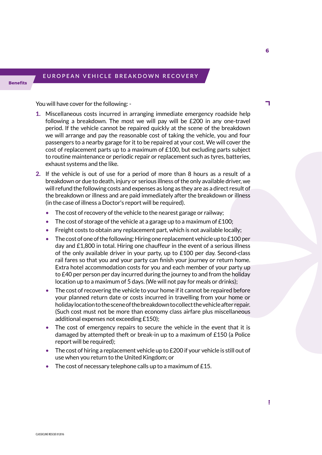# **E uro p ean ve h icle breakdo w n recovery**

You will have cover for the following: -

- 1. Miscellaneous costs incurred in arranging immediate emergency roadside help following a breakdown. The most we will pay will be £200 in any one-travel period. If the vehicle cannot be repaired quickly at the scene of the breakdown we will arrange and pay the reasonable cost of taking the vehicle, you and four passengers to a nearby garage for it to be repaired at your cost. We will cover the cost of replacement parts up to a maximum of  $£100$ , but excluding parts subject to routine maintenance or periodic repair or replacement such as tyres, batteries, exhaust systems and the like.
- 2. If the vehicle is out of use for a period of more than 8 hours as a result of a breakdown or due to death, injury or serious illness of the only available driver, we will refund the following costs and expenses as long as they are as a direct result of the breakdown or illness and are paid immediately after the breakdown or illness (in the case of illness a Doctor's report will be required).
	- The cost of recovery of the vehicle to the nearest garage or railway;
	- The cost of storage of the vehicle at a garage up to a maximum of  $£100;$
	- Freight costs to obtain any replacement part, which is not available locally;
	- The cost of one of the following: Hiring one replacement vehicle up to £100 per day and £1,800 in total. Hiring one chauffeur in the event of a serious illness of the only available driver in your party, up to £100 per day. Second-class rail fares so that you and your party can finish your journey or return home. Extra hotel accommodation costs for you and each member of your party up to £40 per person per day incurred during the journey to and from the holiday location up to a maximum of 5 days. (We will not pay for meals or drinks);
	- The cost of recovering the vehicle to your home if it cannot be repaired before your planned return date or costs incurred in travelling from your home or holiday location to the scene of the breakdown to collect the vehicle after repair. (Such cost must not be more than economy class airfare plus miscellaneous additional expenses not exceeding £150);
	- The cost of emergency repairs to secure the vehicle in the event that it is damaged by attempted theft or break-in up to a maximum of £150 (a Police report will be required);
	- The cost of hiring a replacement vehicle up to  $£200$  if your vehicle is still out of use when you return to the United Kingdom; or
	- The cost of necessary telephone calls up to a maximum of £15.

F.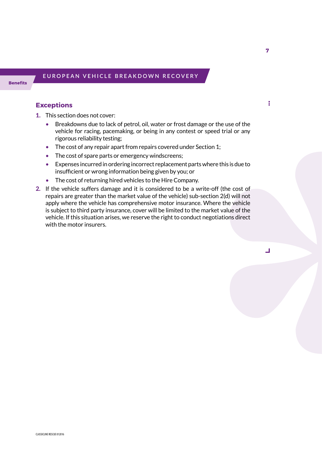# **E uro p ean ve h icle breakdo w n recovery**

# **Exceptions**

- 1. This section does not cover:
	- Breakdowns due to lack of petrol, oil, water or frost damage or the use of the vehicle for racing, pacemaking, or being in any contest or speed trial or any rigorous reliability testing;
	- The cost of any repair apart from repairs covered under Section 1;
	- The cost of spare parts or emergency windscreens;
	- Expenses incurred in ordering incorrect replacement parts where this is due to insufficient or wrong information being given by you; or
	- The cost of returning hired vehicles to the Hire Company.
- 2. If the vehicle suffers damage and it is considered to be a write-off (the cost of repairs are greater than the market value of the vehicle) sub-section 2(d) will not apply where the vehicle has comprehensive motor insurance. Where the vehicle is subject to third party insurance, cover will be limited to the market value of the vehicle. If this situation arises, we reserve the right to conduct negotiations direct with the motor insurers.

ł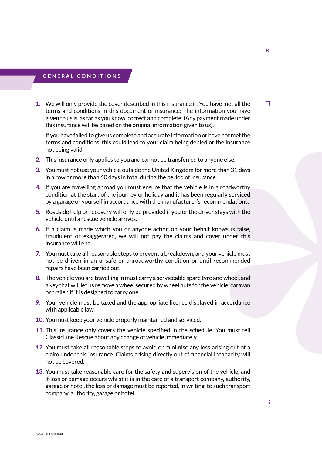# **G eneral conditions**

1. We will only provide the cover described in this insurance if: You have met all the terms and conditions in this document of insurance; The information you have given to us is, as far as you know, correct and complete. (Any payment made under this insurance will be based on the original information given to us).

If you have failed to give us complete and accurate information or have not met the terms and conditions, this could lead to your claim being denied or the insurance not being valid.

- 2. This insurance only applies to you and cannot be transferred to anyone else.
- 3. You must not use your vehicle outside the United Kingdom for more than 31 days in a row or more than 60 days in total during the period of insurance.
- 4. If you are travelling abroad you must ensure that the vehicle is in a roadworthy condition at the start of the journey or holiday and it has been regularly serviced by a garage or yourself in accordance with the manufacturer's recommendations.
- 5. Roadside help or recovery will only be provided if you or the driver stays with the vehicle until a rescue vehicle arrives.
- 6. If a claim is made which you or anyone acting on your behalf knows is false, fraudulent or exaggerated, we will not pay the claims and cover under this insurance will end.
- 7. You must take all reasonable steps to prevent a breakdown, and your vehicle must not be driven in an unsafe or unroadworthy condition or until recommended repairs have been carried out.
- 8. The vehicle you are travelling in must carry a serviceable spare tyre and wheel, and a key that will let us remove a wheel secured by wheel nuts for the vehicle, caravan or trailer, if it is designed to carry one.
- 9. Your vehicle must be taxed and the appropriate licence displayed in accordance with applicable law.
- 10. You must keep your vehicle properly maintained and serviced.
- 11. This insurance only covers the vehicle specified in the schedule. You must tell ClassicLine Rescue about any change of vehicle immediately.
- 12. You must take all reasonable steps to avoid or minimise any loss arising out of a claim under this insurance. Claims arising directly out of financial incapacity will not be covered.
- 13. You must take reasonable care for the safety and supervision of the vehicle, and if loss or damage occurs whilst it is in the care of a transport company, authority, garage or hotel, the loss or damage must be reported, in writing, to such transport company, authority, garage or hotel.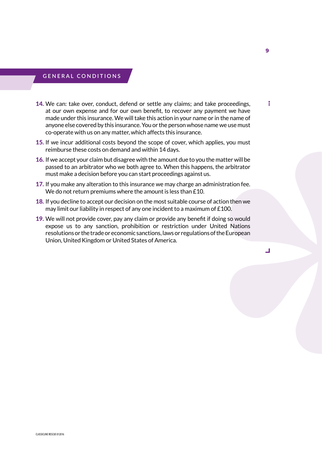# **G eneral conditions**

- 14. We can: take over, conduct, defend or settle any claims; and take proceedings, at our own expense and for our own benefit, to recover any payment we have made under this insurance. We will take this action in your name or in the name of anyone else covered by this insurance. You or the person whose name we use must co-operate with us on any matter, which affects this insurance.
- 15. If we incur additional costs beyond the scope of cover, which applies, you must reimburse these costs on demand and within 14 days.
- 16. If we accept your claim but disagree with the amount due to you the matter will be passed to an arbitrator who we both agree to. When this happens, the arbitrator must make a decision before you can start proceedings against us.
- 17. If you make any alteration to this insurance we may charge an administration fee. We do not return premiums where the amount is less than £10.
- 18. If you decline to accept our decision on the most suitable course of action then we may limit our liability in respect of any one incident to a maximum of £100.
- 19. We will not provide cover, pay any claim or provide any benefit if doing so would expose us to any sanction, prohibition or restriction under United Nations resolutions or the trade or economic sanctions, laws or regulations of the European Union, United Kingdom or United States of America.

Ī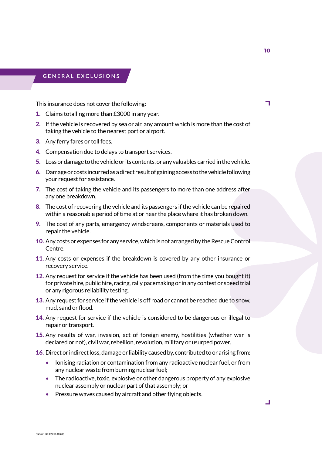# **G eneral exclusions**

This insurance does not cover the following: -

- 1. Claims totalling more than £3000 in any year.
- 2. If the vehicle is recovered by sea or air, any amount which is more than the cost of taking the vehicle to the nearest port or airport.
- 3. Any ferry fares or toll fees.
- 4. Compensation due to delays to transport services.
- 5. Loss or damage to the vehicle or its contents, or any valuables carried in the vehicle.
- 6. Damage or costs incurred as a direct result of gaining access to the vehicle following your request for assistance.
- 7. The cost of taking the vehicle and its passengers to more than one address after any one breakdown.
- 8. The cost of recovering the vehicle and its passengers if the vehicle can be repaired within a reasonable period of time at or near the place where it has broken down.
- 9. The cost of any parts, emergency windscreens, components or materials used to repair the vehicle.
- 10. Any costs or expenses for any service, which is not arranged by the Rescue Control Centre.
- 11. Any costs or expenses if the breakdown is covered by any other insurance or recovery service.
- 12. Any request for service if the vehicle has been used (from the time you bought it) for private hire, public hire, racing, rally pacemaking or in any contest or speed trial or any rigorous reliability testing.
- 13. Any request for service if the vehicle is off road or cannot be reached due to snow, mud, sand or flood.
- 14. Any request for service if the vehicle is considered to be dangerous or illegal to repair or transport.
- 15. Any results of war, invasion, act of foreign enemy, hostilities (whether war is declared or not), civil war, rebellion, revolution, military or usurped power.
- 16. Direct or indirect loss, damage or liability caused by, contributed to or arising from:
	- Ionising radiation or contamination from any radioactive nuclear fuel, or from any nuclear waste from burning nuclear fuel;
	- The radioactive, toxic, explosive or other dangerous property of any explosive nuclear assembly or nuclear part of that assembly; or
	- Pressure waves caused by aircraft and other flying objects.

٦

┙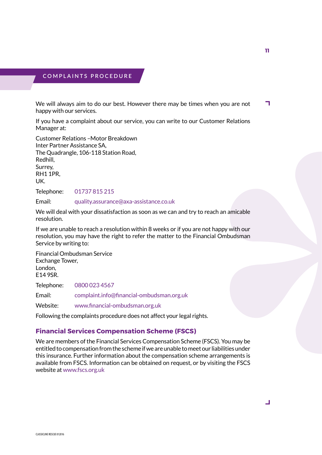#### **C o m p laints p rocedure**

We will always aim to do our best. However there may be times when you are not ٦ happy with our services.

If you have a complaint about our service, you can write to our Customer Relations Manager at:

Customer Relations –Motor Breakdown Inter Partner Assistance SA, The Quadrangle, 106-118 Station Road, Redhill, Surrey, RH1 1PR, UK.

Telephone: 01737 815 215

Email: quality.assurance@axa-assistance.co.uk

We will deal with your dissatisfaction as soon as we can and try to reach an amicable resolution.

If we are unable to reach a resolution within 8 weeks or if you are not happy with our resolution, you may have the right to refer the matter to the Financial Ombudsman Service by writing to:

Financial Ombudsman Service Exchange Tower, London, E14 9SR.

Telephone: 0800 023 4567

Email: complaint.info@financial-ombudsman.org.uk

Website: www.financial-ombudsman.org.uk

Following the complaints procedure does not affect your legal rights.

#### **Financial Services Compensation Scheme (FSCS)**

We are members of the Financial Services Compensation Scheme (FSCS). You may be entitled to compensation from the scheme if we are unable to meet our liabilities under this insurance. Further information about the compensation scheme arrangements is available from FSCS. Information can be obtained on request, or by visiting the FSCS website at www.fscs.org.uk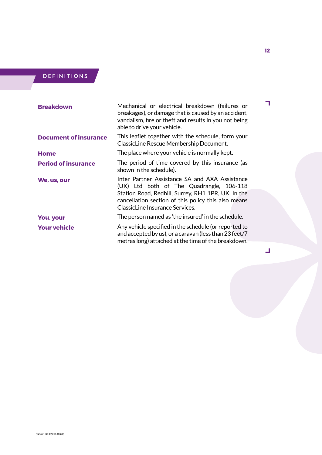# **D efinitions**

| <b>Breakdown</b>             | Mechanical or electrical breakdown (failures or<br>breakages), or damage that is caused by an accident,<br>vandalism, fire or theft and results in you not being<br>able to drive your vehicle.                                            |
|------------------------------|--------------------------------------------------------------------------------------------------------------------------------------------------------------------------------------------------------------------------------------------|
| <b>Document of insurance</b> | This leaflet together with the schedule, form your<br>ClassicLine Rescue Membership Document.                                                                                                                                              |
| <b>Home</b>                  | The place where your vehicle is normally kept.                                                                                                                                                                                             |
| <b>Period of insurance</b>   | The period of time covered by this insurance (as<br>shown in the schedule).                                                                                                                                                                |
| We, us, our                  | Inter Partner Assistance SA and AXA Assistance<br>(UK) Ltd both of The Quadrangle, 106-118<br>Station Road, Redhill, Surrey, RH1 1PR, UK. In the<br>cancellation section of this policy this also means<br>ClassicLine Insurance Services. |
| <b>You, your</b>             | The person named as 'the insured' in the schedule.                                                                                                                                                                                         |
| <b>Your vehicle</b>          | Any vehicle specified in the schedule (or reported to<br>and accepted by us), or a caravan (less than 23 feet/7<br>metres long) attached at the time of the breakdown.                                                                     |

 $\overline{\phantom{0}}$